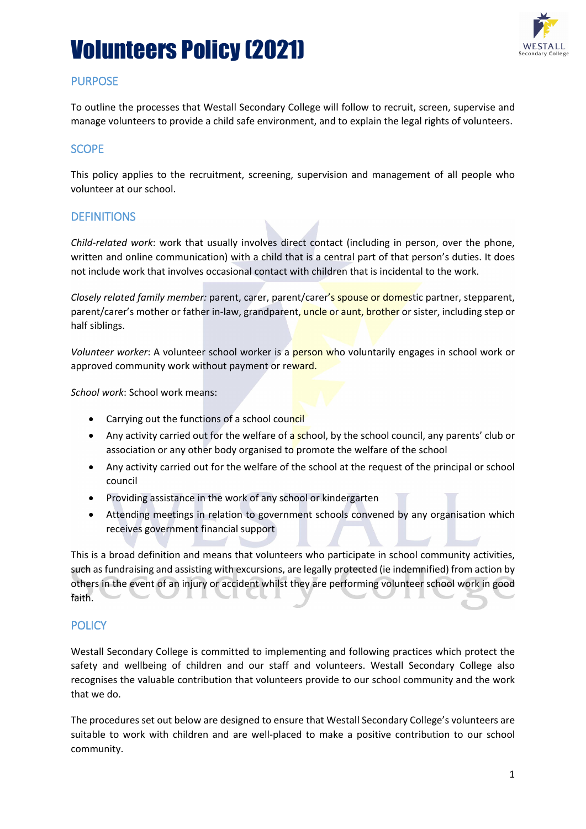

# **PURPOSE**

To outline the processes that Westall Secondary College will follow to recruit, screen, supervise and manage volunteers to provide a child safe environment, and to explain the legal rights of volunteers.

## **SCOPE**

This policy applies to the recruitment, screening, supervision and management of all people who volunteer at our school.

## **DEFINITIONS**

*Child-related work*: work that usually involves direct contact (including in person, over the phone, written and online communication) with a child that is a central part of that person's duties. It does not include work that involves occasional contact with children that is incidental to the work.

*Closely related family member:* parent, carer, parent/carer's spouse or domestic partner, stepparent, parent/carer's mother or father in-law, grandparent, uncle or aunt, brother or sister, including step or half siblings.

*Volunteer worker*: A volunteer school worker is a person who voluntarily engages in school work or approved community work without payment or reward.

*School work*: School work means:

- Carrying out the functions of a school council
- Any activity carried out for the welfare of a school, by the school council, any parents' club or association or any other body organised to promote the welfare of the school
- Any activity carried out for the welfare of the school at the request of the principal or school council
- Providing assistance in the work of any school or kindergarten
- Attending meetings in relation to government schools convened by any organisation which receives government financial support

This is a broad definition and means that volunteers who participate in school community activities, such as fundraising and assisting with excursions, are legally protected (ie indemnified) from action by others in the event of an injury or accident whilst they are performing volunteer school work in good faith.

## **POLICY**

Westall Secondary College is committed to implementing and following practices which protect the safety and wellbeing of children and our staff and volunteers. Westall Secondary College also recognises the valuable contribution that volunteers provide to our school community and the work that we do.

The procedures set out below are designed to ensure that Westall Secondary College's volunteers are suitable to work with children and are well-placed to make a positive contribution to our school community.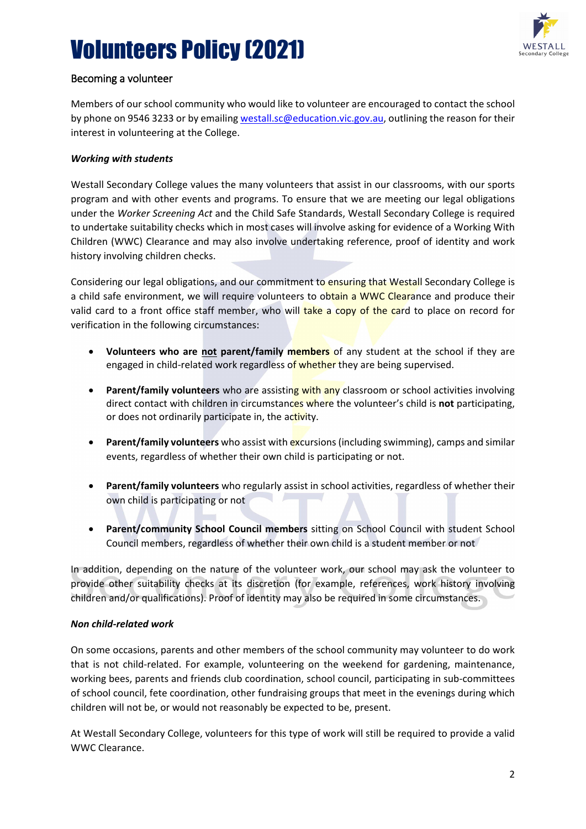

## Becoming a volunteer

Members of our school community who would like to volunteer are encouraged to contact the school by phone on 9546 3233 or by emailin[g westall.sc@education.vic.gov.au,](mailto:westall.sc@education.vic.gov.au) outlining the reason for their interest in volunteering at the College.

#### *Working with students*

Westall Secondary College values the many volunteers that assist in our classrooms, with our sports program and with other events and programs. To ensure that we are meeting our legal obligations under the *Worker Screening Act* and the Child Safe Standards, Westall Secondary College is required to undertake suitability checks which in most cases will involve asking for evidence of a Working With Children (WWC) Clearance and may also involve undertaking reference, proof of identity and work history involving children checks.

Considering our legal obligations, and our commitment to ensuring that Westall Secondary College is a child safe environment, we will require volunteers to obtain a WWC Clearance and produce their valid card to a front office staff member, who will take a copy of the card to place on record for verification in the following circumstances:

- **Volunteers who are not parent/family members** of any student at the school if they are engaged in child-related work regardless of whether they are being supervised.
- **Parent/family volunteers** who are assisting with any classroom or school activities involving direct contact with children in circumstances where the volunteer's child is **not** participating, or does not ordinarily participate in, the activity.
- **Parent/family volunteers** who assist with excursions (including swimming), camps and similar events, regardless of whether their own child is participating or not.
- **Parent/family volunteers** who regularly assist in school activities, regardless of whether their own child is participating or not
- **Parent/community School Council members** sitting on School Council with student School Council members, regardless of whether their own child is a student member or not

In addition, depending on the nature of the volunteer work, our school may ask the volunteer to provide other suitability checks at its discretion (for example, references, work history involving children and/or qualifications). Proof of identity may also be required in some circumstances.

#### *Non child-related work*

On some occasions, parents and other members of the school community may volunteer to do work that is not child-related. For example, volunteering on the weekend for gardening, maintenance, working bees, parents and friends club coordination, school council, participating in sub-committees of school council, fete coordination, other fundraising groups that meet in the evenings during which children will not be, or would not reasonably be expected to be, present.

At Westall Secondary College, volunteers for this type of work will still be required to provide a valid WWC Clearance.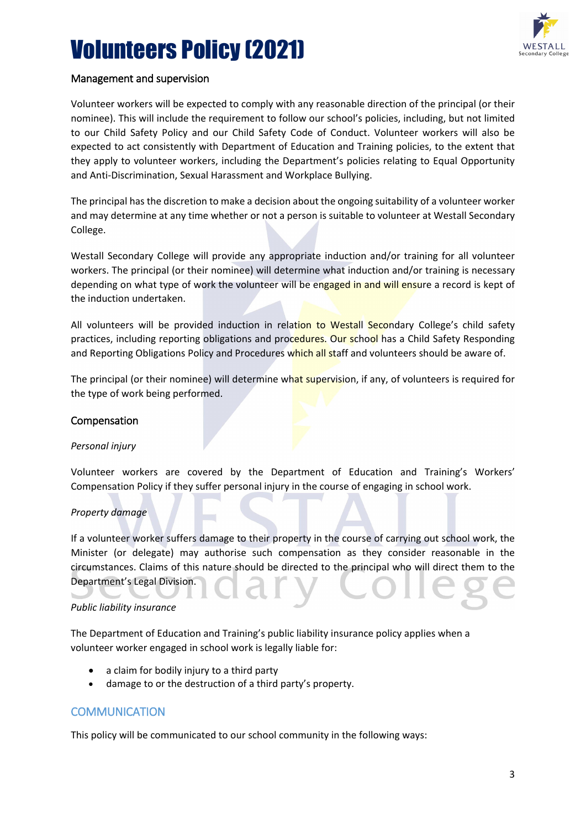

#### Management and supervision

Volunteer workers will be expected to comply with any reasonable direction of the principal (or their nominee). This will include the requirement to follow our school's policies, including, but not limited to our Child Safety Policy and our Child Safety Code of Conduct. Volunteer workers will also be expected to act consistently with Department of Education and Training policies, to the extent that they apply to volunteer workers, including the Department's policies relating to Equal Opportunity and Anti-Discrimination, Sexual Harassment and Workplace Bullying.

The principal has the discretion to make a decision about the ongoing suitability of a volunteer worker and may determine at any time whether or not a person is suitable to volunteer at Westall Secondary College.

Westall Secondary College will provide any appropriate induction and/or training for all volunteer workers. The principal (or their nominee) will determine what induction and/or training is necessary depending on what type of work the volunteer will be engaged in and will ensure a record is kept of the induction undertaken.

All volunteers will be provided induction in relation to Westall Secondary College's child safety practices, including reporting obligations and procedures. Our school has a Child Safety Responding and Reporting Obligations Policy and Procedures which all staff and volunteers should be aware of.

The principal (or their nominee) will determine what supervision, if any, of volunteers is required for the type of work being performed.

#### Compensation

#### *Personal injury*

Volunteer workers are covered by the Department of Education and Training's Workers' Compensation Policy if they suffer personal injury in the course of engaging in school work.

#### *Property damage*

If a volunteer worker suffers damage to their property in the course of carrying out school work, the Minister (or delegate) may authorise such compensation as they consider reasonable in the circumstances. Claims of this nature should be directed to the principal who will direct them to the Department's Legal Division.

#### *Public liability insurance*

The Department of Education and Training's public liability insurance policy applies when a volunteer worker engaged in school work is legally liable for:

- a claim for bodily injury to a third party
- damage to or the destruction of a third party's property.

#### **COMMUNICATION**

This policy will be communicated to our school community in the following ways: